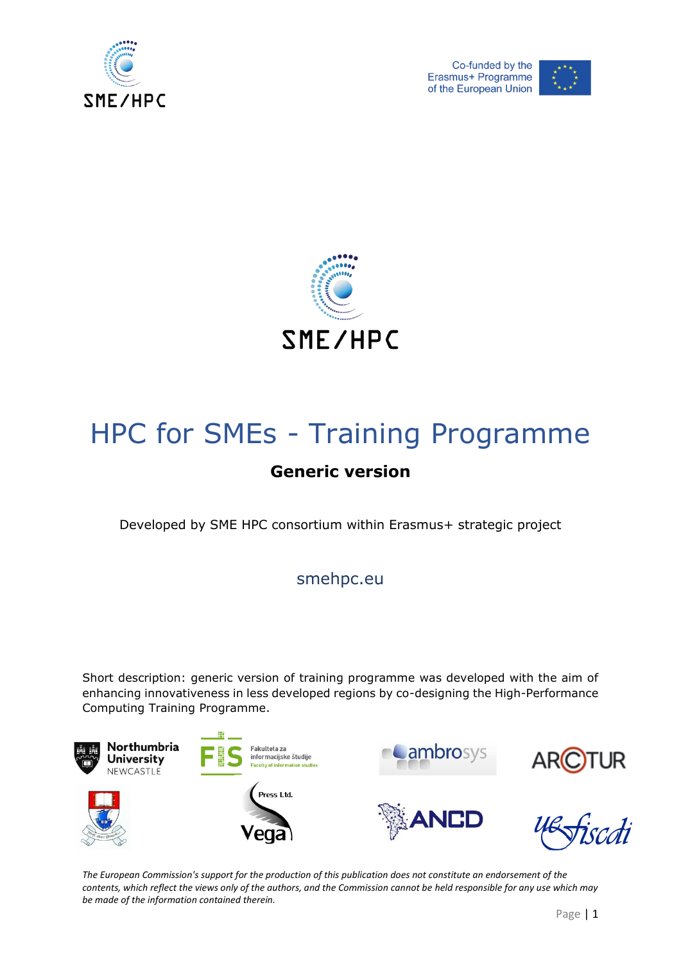





# HPC for SMEs - Training Programme

## **Generic version**

Developed by SME HPC consortium within Erasmus+ strategic project

smehpc.eu

Short description: generic version of training programme was developed with the aim of enhancing innovativeness in less developed regions by co-designing the High-Performance Computing Training Programme.

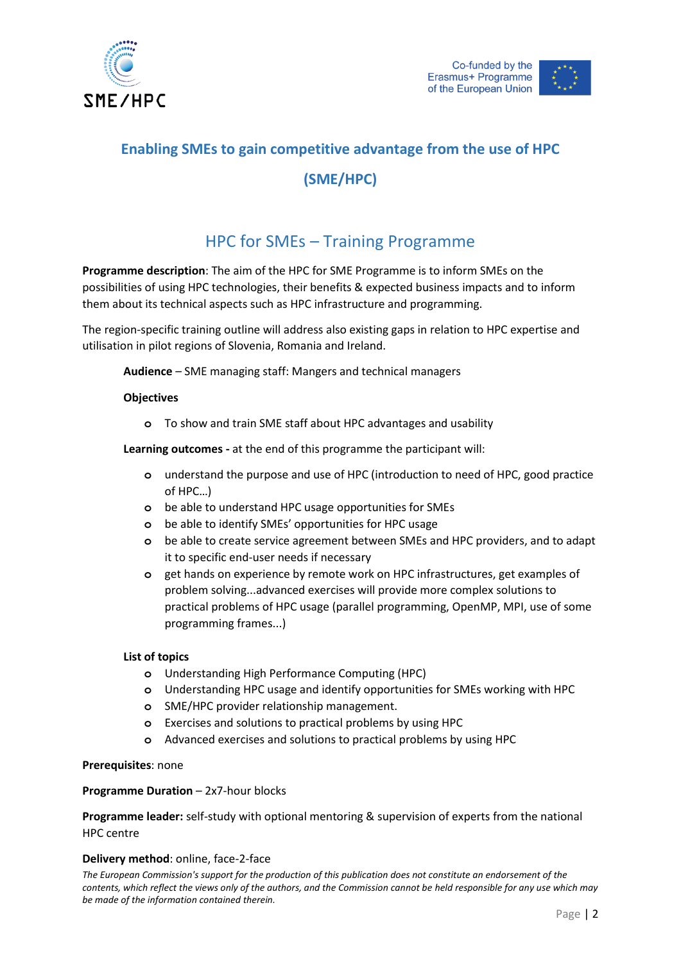

# **Enabling SMEs to gain competitive advantage from the use of HPC (SME/HPC)**

### HPC for SMEs – Training Programme

**Programme description**: The aim of the HPC for SME Programme is to inform SMEs on the possibilities of using HPC technologies, their benefits & expected business impacts and to inform them about its technical aspects such as HPC infrastructure and programming.

The region-specific training outline will address also existing gaps in relation to HPC expertise and utilisation in pilot regions of Slovenia, Romania and Ireland.

**Audience** – SME managing staff: Mangers and technical managers

#### **Objectives**

**o** To show and train SME staff about HPC advantages and usability

**Learning outcomes -** at the end of this programme the participant will:

- **o** understand the purpose and use of HPC (introduction to need of HPC, good practice of HPC…)
- **o** be able to understand HPC usage opportunities for SMEs
- **o** be able to identify SMEs' opportunities for HPC usage
- **o** be able to create service agreement between SMEs and HPC providers, and to adapt it to specific end-user needs if necessary
- **o** get hands on experience by remote work on HPC infrastructures, get examples of problem solving...advanced exercises will provide more complex solutions to practical problems of HPC usage (parallel programming, OpenMP, MPI, use of some programming frames...)

#### **List of topics**

- **o** Understanding High Performance Computing (HPC)
- **o** Understanding HPC usage and identify opportunities for SMEs working with HPC
- **o** SME/HPC provider relationship management.
- **o** Exercises and solutions to practical problems by using HPC
- **o** Advanced exercises and solutions to practical problems by using HPC

#### **Prerequisites**: none

#### **Programme Duration** – 2x7-hour blocks

**Programme leader:** self-study with optional mentoring & supervision of experts from the national HPC centre

#### **Delivery method**: online, face-2-face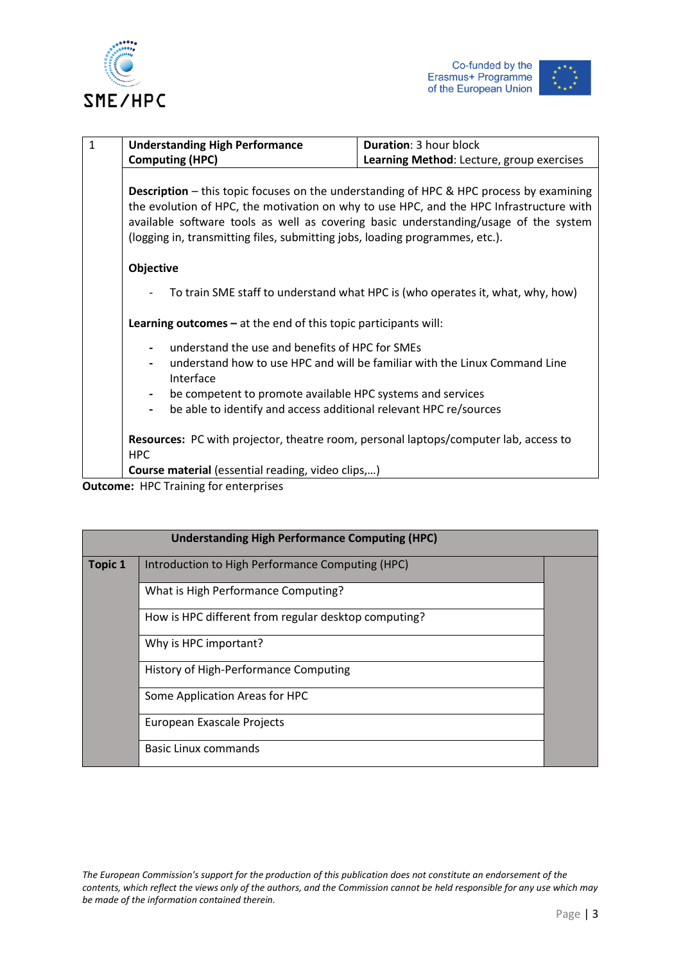





| $\mathbf{1}$ | <b>Understanding High Performance</b>                                                                                                                                                                                                                                                                                                                             | <b>Duration: 3 hour block</b>                                                  |
|--------------|-------------------------------------------------------------------------------------------------------------------------------------------------------------------------------------------------------------------------------------------------------------------------------------------------------------------------------------------------------------------|--------------------------------------------------------------------------------|
|              | <b>Computing (HPC)</b>                                                                                                                                                                                                                                                                                                                                            | Learning Method: Lecture, group exercises                                      |
|              | <b>Description</b> – this topic focuses on the understanding of HPC & HPC process by examining<br>the evolution of HPC, the motivation on why to use HPC, and the HPC Infrastructure with<br>available software tools as well as covering basic understanding/usage of the system<br>(logging in, transmitting files, submitting jobs, loading programmes, etc.). |                                                                                |
|              | Objective                                                                                                                                                                                                                                                                                                                                                         |                                                                                |
|              |                                                                                                                                                                                                                                                                                                                                                                   | To train SME staff to understand what HPC is (who operates it, what, why, how) |
|              | <b>Learning outcomes – at the end of this topic participants will:</b>                                                                                                                                                                                                                                                                                            |                                                                                |
|              | understand the use and benefits of HPC for SMEs<br>Interface                                                                                                                                                                                                                                                                                                      | understand how to use HPC and will be familiar with the Linux Command Line     |
|              | be competent to promote available HPC systems and services                                                                                                                                                                                                                                                                                                        |                                                                                |
|              | be able to identify and access additional relevant HPC re/sources                                                                                                                                                                                                                                                                                                 |                                                                                |
|              | Resources: PC with projector, theatre room, personal laptops/computer lab, access to<br><b>HPC</b>                                                                                                                                                                                                                                                                |                                                                                |
|              | <b>Course material</b> (essential reading, video clips,)                                                                                                                                                                                                                                                                                                          |                                                                                |

**Outcome:** HPC Training for enterprises

|                | <b>Understanding High Performance Computing (HPC)</b> |  |
|----------------|-------------------------------------------------------|--|
| <b>Topic 1</b> | Introduction to High Performance Computing (HPC)      |  |
|                | What is High Performance Computing?                   |  |
|                | How is HPC different from regular desktop computing?  |  |
|                | Why is HPC important?                                 |  |
|                | History of High-Performance Computing                 |  |
|                | Some Application Areas for HPC                        |  |
|                | European Exascale Projects                            |  |
|                | <b>Basic Linux commands</b>                           |  |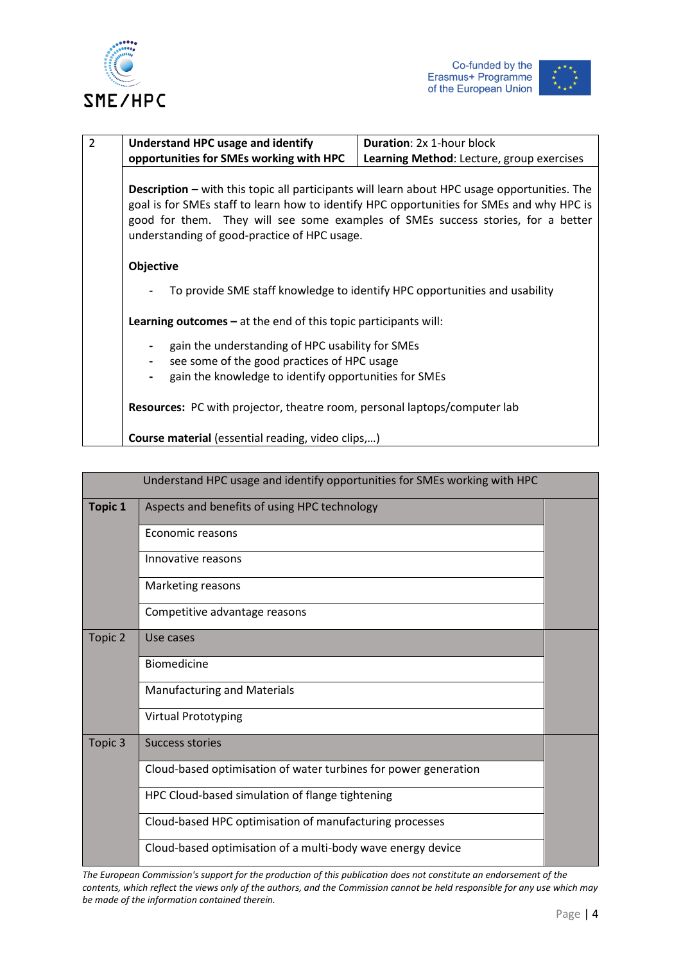





| $\overline{2}$ | Understand HPC usage and identify                                                                                                                                                                                                                                                                                                    | Duration: 2x 1-hour block                                                  |  |
|----------------|--------------------------------------------------------------------------------------------------------------------------------------------------------------------------------------------------------------------------------------------------------------------------------------------------------------------------------------|----------------------------------------------------------------------------|--|
|                |                                                                                                                                                                                                                                                                                                                                      |                                                                            |  |
|                | opportunities for SMEs working with HPC                                                                                                                                                                                                                                                                                              | Learning Method: Lecture, group exercises                                  |  |
|                |                                                                                                                                                                                                                                                                                                                                      |                                                                            |  |
|                | <b>Description</b> – with this topic all participants will learn about HPC usage opportunities. The<br>goal is for SMEs staff to learn how to identify HPC opportunities for SMEs and why HPC is<br>good for them. They will see some examples of SMEs success stories, for a better<br>understanding of good-practice of HPC usage. |                                                                            |  |
|                | Objective                                                                                                                                                                                                                                                                                                                            |                                                                            |  |
|                |                                                                                                                                                                                                                                                                                                                                      | To provide SME staff knowledge to identify HPC opportunities and usability |  |
|                | <b>Learning outcomes</b> $-$ at the end of this topic participants will:                                                                                                                                                                                                                                                             |                                                                            |  |
|                | gain the understanding of HPC usability for SMEs                                                                                                                                                                                                                                                                                     |                                                                            |  |
|                |                                                                                                                                                                                                                                                                                                                                      |                                                                            |  |
|                | see some of the good practices of HPC usage                                                                                                                                                                                                                                                                                          |                                                                            |  |
|                | gain the knowledge to identify opportunities for SMEs                                                                                                                                                                                                                                                                                |                                                                            |  |
|                | <b>Resources:</b> PC with projector, theatre room, personal laptops/computer lab                                                                                                                                                                                                                                                     |                                                                            |  |
|                | <b>Course material</b> (essential reading, video clips,)                                                                                                                                                                                                                                                                             |                                                                            |  |

|                | Understand HPC usage and identify opportunities for SMEs working with HPC |  |
|----------------|---------------------------------------------------------------------------|--|
| <b>Topic 1</b> | Aspects and benefits of using HPC technology                              |  |
|                | Economic reasons                                                          |  |
|                | Innovative reasons                                                        |  |
|                | Marketing reasons                                                         |  |
|                | Competitive advantage reasons                                             |  |
| Topic 2        | Use cases                                                                 |  |
|                | <b>Biomedicine</b>                                                        |  |
|                | <b>Manufacturing and Materials</b>                                        |  |
|                | <b>Virtual Prototyping</b>                                                |  |
| Topic 3        | Success stories                                                           |  |
|                | Cloud-based optimisation of water turbines for power generation           |  |
|                | HPC Cloud-based simulation of flange tightening                           |  |
|                | Cloud-based HPC optimisation of manufacturing processes                   |  |
|                | Cloud-based optimisation of a multi-body wave energy device               |  |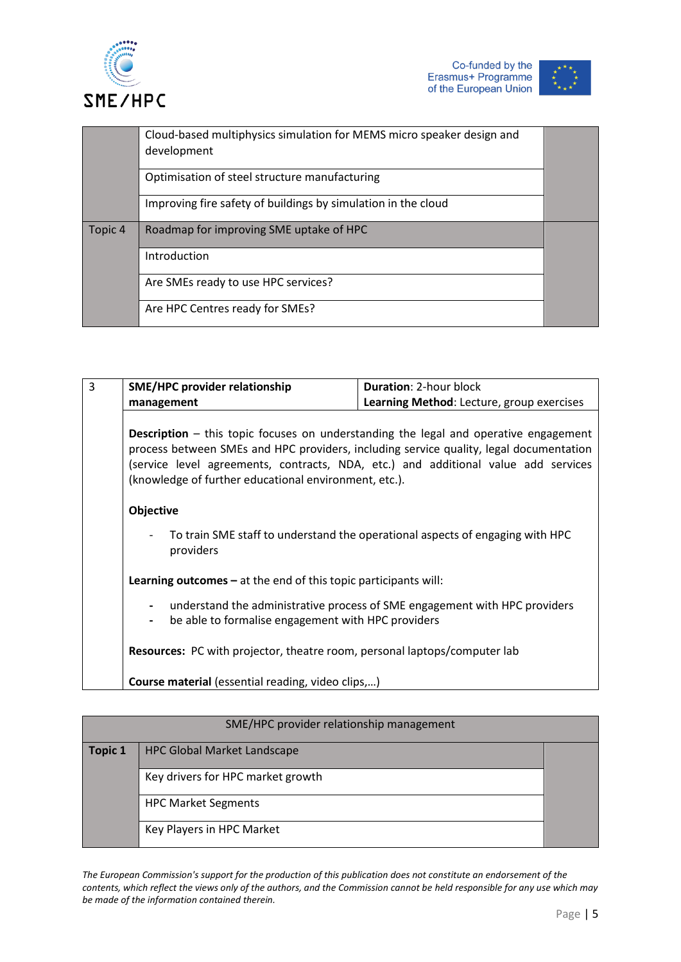



|         | Cloud-based multiphysics simulation for MEMS micro speaker design and |  |
|---------|-----------------------------------------------------------------------|--|
|         | development                                                           |  |
|         | Optimisation of steel structure manufacturing                         |  |
|         | Improving fire safety of buildings by simulation in the cloud         |  |
| Topic 4 | Roadmap for improving SME uptake of HPC                               |  |
|         | Introduction                                                          |  |
|         | Are SMEs ready to use HPC services?                                   |  |
|         | Are HPC Centres ready for SMEs?                                       |  |

| 3 | <b>SME/HPC provider relationship</b>                                                                                                                                                                                                                                                                                                 | <b>Duration: 2-hour block</b>                                              |
|---|--------------------------------------------------------------------------------------------------------------------------------------------------------------------------------------------------------------------------------------------------------------------------------------------------------------------------------------|----------------------------------------------------------------------------|
|   | management                                                                                                                                                                                                                                                                                                                           | Learning Method: Lecture, group exercises                                  |
|   |                                                                                                                                                                                                                                                                                                                                      |                                                                            |
|   | <b>Description</b> – this topic focuses on understanding the legal and operative engagement<br>process between SMEs and HPC providers, including service quality, legal documentation<br>(service level agreements, contracts, NDA, etc.) and additional value add services<br>(knowledge of further educational environment, etc.). |                                                                            |
|   | Objective<br>To train SME staff to understand the operational aspects of engaging with HPC<br>providers<br><b>Learning outcomes</b> $-$ at the end of this topic participants will:                                                                                                                                                  |                                                                            |
|   |                                                                                                                                                                                                                                                                                                                                      |                                                                            |
|   |                                                                                                                                                                                                                                                                                                                                      |                                                                            |
|   | be able to formalise engagement with HPC providers<br>$\blacksquare$                                                                                                                                                                                                                                                                 | understand the administrative process of SME engagement with HPC providers |
|   | Resources: PC with projector, theatre room, personal laptops/computer lab                                                                                                                                                                                                                                                            |                                                                            |
|   | <b>Course material</b> (essential reading, video clips,)                                                                                                                                                                                                                                                                             |                                                                            |

| SME/HPC provider relationship management |                                    |  |
|------------------------------------------|------------------------------------|--|
| <b>Topic 1</b>                           | <b>HPC Global Market Landscape</b> |  |
|                                          | Key drivers for HPC market growth  |  |
|                                          | <b>HPC Market Segments</b>         |  |
|                                          | Key Players in HPC Market          |  |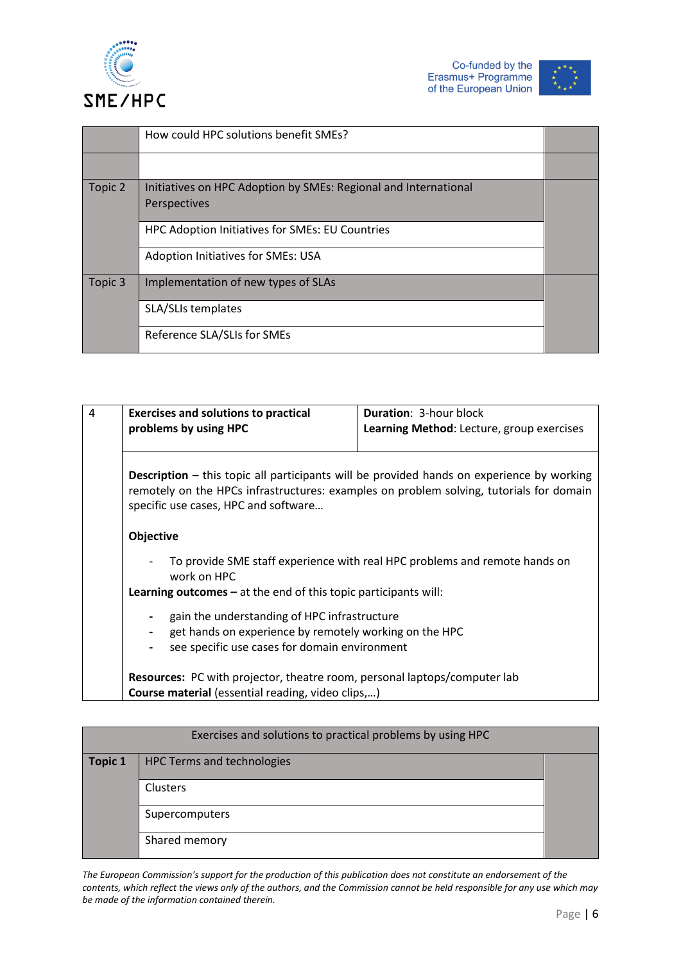



|         | How could HPC solutions benefit SMEs?                                           |  |
|---------|---------------------------------------------------------------------------------|--|
|         |                                                                                 |  |
| Topic 2 | Initiatives on HPC Adoption by SMEs: Regional and International<br>Perspectives |  |
|         | HPC Adoption Initiatives for SMEs: EU Countries                                 |  |
|         | Adoption Initiatives for SMEs: USA                                              |  |
| Topic 3 | Implementation of new types of SLAs                                             |  |
|         | SLA/SLIs templates                                                              |  |
|         | Reference SLA/SLIs for SMEs                                                     |  |

|                  | <b>Exercises and solutions to practical</b><br>problems by using HPC     | <b>Duration: 3-hour block</b><br>Learning Method: Lecture, group exercises                                                                                                                  |
|------------------|--------------------------------------------------------------------------|---------------------------------------------------------------------------------------------------------------------------------------------------------------------------------------------|
|                  |                                                                          |                                                                                                                                                                                             |
|                  | specific use cases, HPC and software                                     | <b>Description</b> – this topic all participants will be provided hands on experience by working<br>remotely on the HPCs infrastructures: examples on problem solving, tutorials for domain |
| <b>Objective</b> |                                                                          |                                                                                                                                                                                             |
|                  |                                                                          | To provide SME staff experience with real HPC problems and remote hands on                                                                                                                  |
|                  | work on HPC                                                              |                                                                                                                                                                                             |
|                  | <b>Learning outcomes</b> $-$ at the end of this topic participants will: |                                                                                                                                                                                             |

| Exercises and solutions to practical problems by using HPC |                                   |  |
|------------------------------------------------------------|-----------------------------------|--|
| Topic 1                                                    | <b>HPC Terms and technologies</b> |  |
|                                                            | Clusters                          |  |
|                                                            | Supercomputers                    |  |
|                                                            | Shared memory                     |  |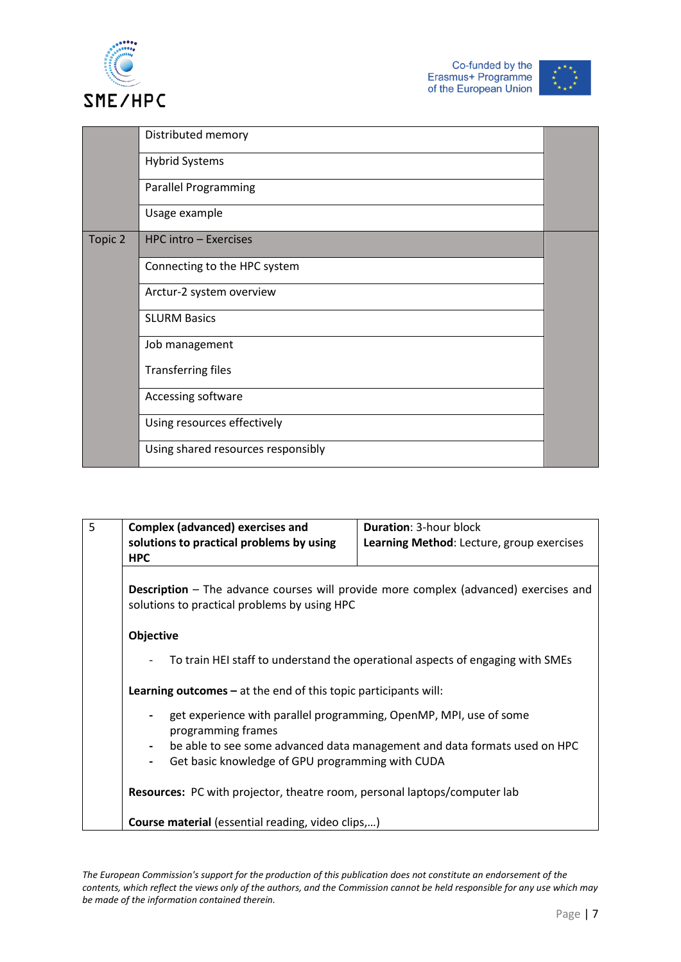





|         | Distributed memory                 |  |
|---------|------------------------------------|--|
|         | <b>Hybrid Systems</b>              |  |
|         | <b>Parallel Programming</b>        |  |
|         | Usage example                      |  |
| Topic 2 | HPC intro - Exercises              |  |
|         | Connecting to the HPC system       |  |
|         | Arctur-2 system overview           |  |
|         | <b>SLURM Basics</b>                |  |
|         | Job management                     |  |
|         | <b>Transferring files</b>          |  |
|         | Accessing software                 |  |
|         | Using resources effectively        |  |
|         | Using shared resources responsibly |  |

| 5 | <b>Complex (advanced) exercises and</b><br>solutions to practical problems by using<br><b>HPC</b>                                                                                                                                                                                                                                                                                       | <b>Duration: 3-hour block</b><br>Learning Method: Lecture, group exercises |  |
|---|-----------------------------------------------------------------------------------------------------------------------------------------------------------------------------------------------------------------------------------------------------------------------------------------------------------------------------------------------------------------------------------------|----------------------------------------------------------------------------|--|
|   | <b>Description</b> – The advance courses will provide more complex (advanced) exercises and<br>solutions to practical problems by using HPC                                                                                                                                                                                                                                             |                                                                            |  |
|   | Objective                                                                                                                                                                                                                                                                                                                                                                               |                                                                            |  |
|   | To train HEI staff to understand the operational aspects of engaging with SMEs<br><b>Learning outcomes</b> $-$ at the end of this topic participants will:<br>get experience with parallel programming, OpenMP, MPI, use of some<br>programming frames<br>be able to see some advanced data management and data formats used on HPC<br>Get basic knowledge of GPU programming with CUDA |                                                                            |  |
|   |                                                                                                                                                                                                                                                                                                                                                                                         |                                                                            |  |
|   |                                                                                                                                                                                                                                                                                                                                                                                         |                                                                            |  |
|   |                                                                                                                                                                                                                                                                                                                                                                                         |                                                                            |  |
|   | Resources: PC with projector, theatre room, personal laptops/computer lab                                                                                                                                                                                                                                                                                                               |                                                                            |  |
|   | <b>Course material</b> (essential reading, video clips,)                                                                                                                                                                                                                                                                                                                                |                                                                            |  |